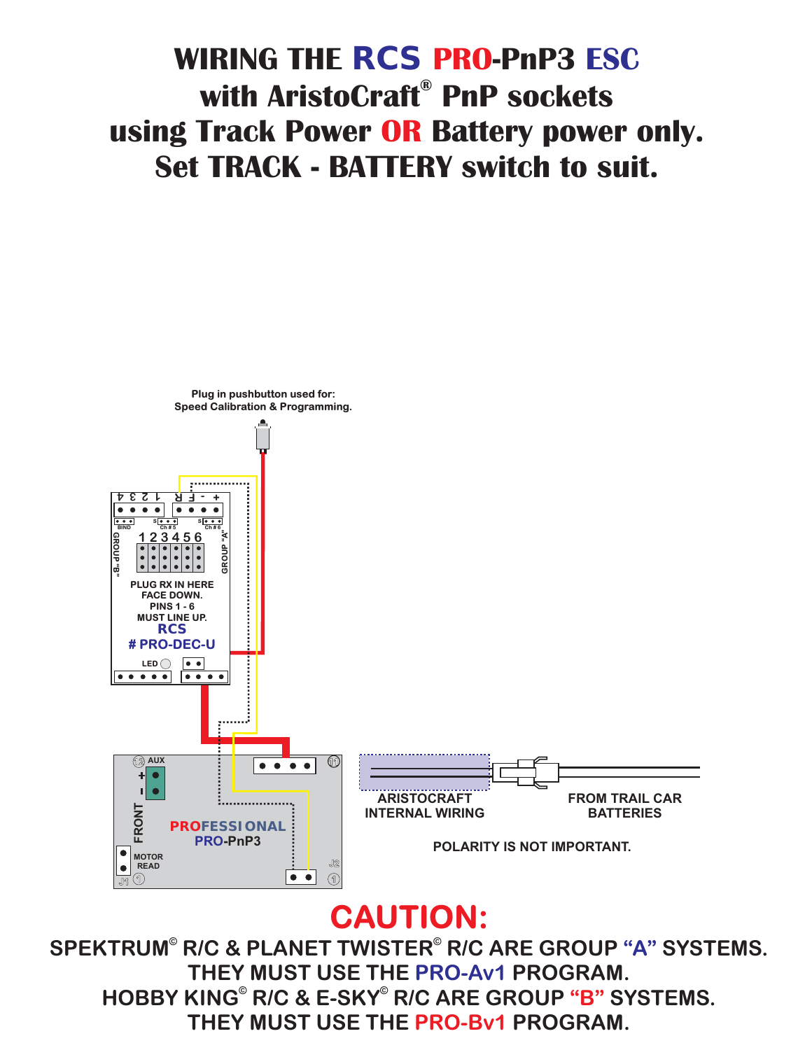# **with AristoCraft**® PnP sockets **using Track Power OR Battery power only. Set TRACK - RATTERY switch to suit. Set TRACK - BATTERY switch to suit. WIRING THE RCS PRO-PnP3 ESC**



#### **CAUTION:**

HOBBY KING<sup>®</sup> R/C & E-SKY<sup>®</sup> R/C ARE GROUP "B" SYSTEMS. **THEY MUST USE THE PRO-Bv1 PROGRAM.** SPEKTRUM® R/C & PLANET TWISTER® R/C ARE GROUP "A" SYSTEMS. **THEY MUST USE THE PRO-Av1 PROGRAM.**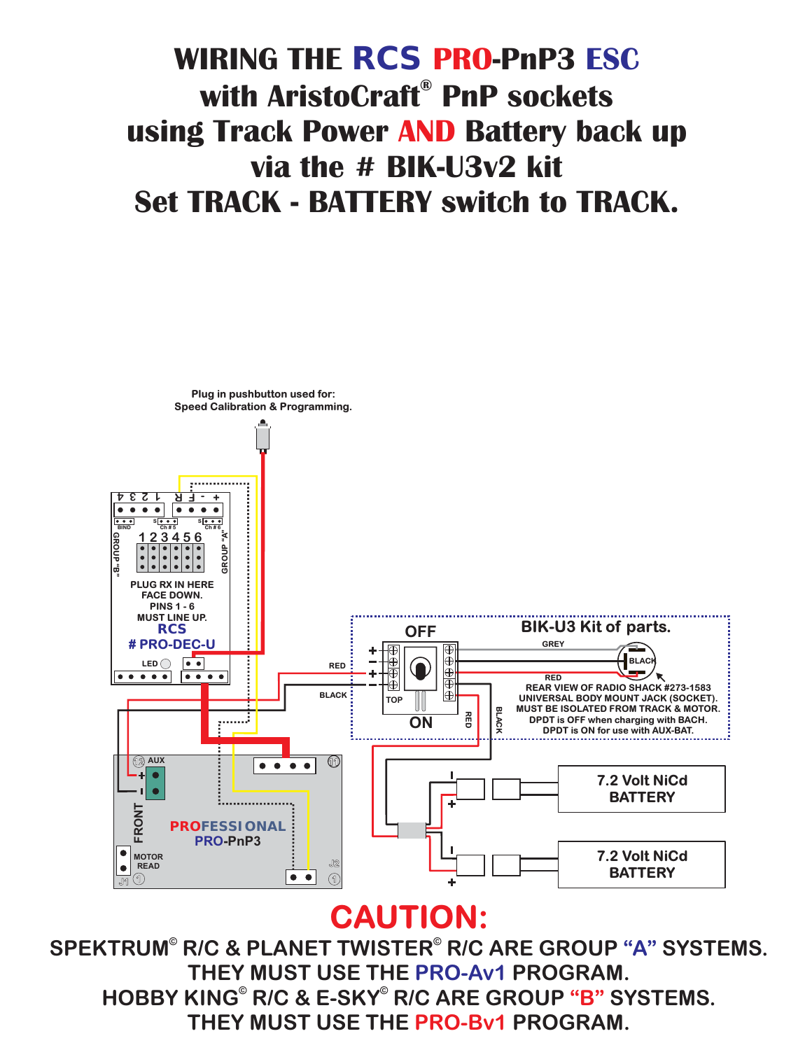# **with AristoCraft**® PnP sockets **using Track Power AND Battery back up using Track Power Battery back up Set TRACK - BATTERY switch to TRACK. Set TRACK - BATTERY switch to TRACK. WIRING THE RCS PRO-PnP3 ESC**



HOBBY KING<sup>®</sup> R/C & E-SKY<sup>®</sup> R/C ARE GROUP "B" SYSTEMS. **THEY MUST USE THE PRO-Bv1 PROGRAM.** SPEKTRUM® R/C & PLANET TWISTER® R/C ARE GROUP "A" SYSTEMS. **THEY MUST USE THE PRO-Av1 PROGRAM.**